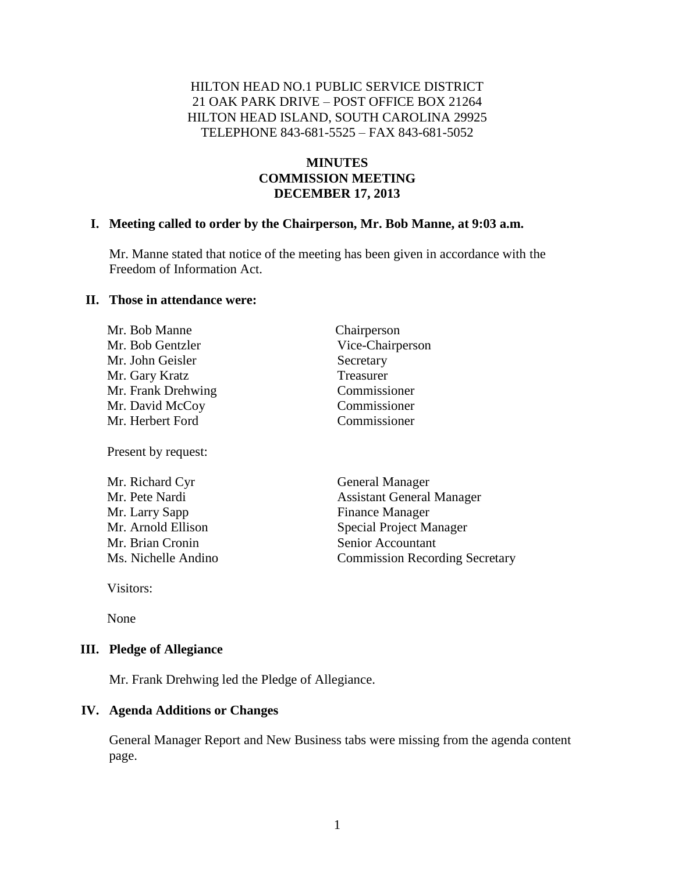#### HILTON HEAD NO.1 PUBLIC SERVICE DISTRICT 21 OAK PARK DRIVE – POST OFFICE BOX 21264 HILTON HEAD ISLAND, SOUTH CAROLINA 29925 TELEPHONE 843-681-5525 – FAX 843-681-5052

## **MINUTES COMMISSION MEETING DECEMBER 17, 2013**

#### **I. Meeting called to order by the Chairperson, Mr. Bob Manne, at 9:03 a.m.**

Mr. Manne stated that notice of the meeting has been given in accordance with the Freedom of Information Act.

#### **II. Those in attendance were:**

| Mr. Bob Manne      | Chairperson      |
|--------------------|------------------|
| Mr. Bob Gentzler   | Vice-Chairperson |
| Mr. John Geisler   | Secretary        |
| Mr. Gary Kratz     | Treasurer        |
| Mr. Frank Drehwing | Commissioner     |
| Mr. David McCoy    | Commissioner     |
| Mr. Herbert Ford   | Commissioner     |
|                    |                  |

Present by request:

| Mr. Richard Cyr     | <b>General Manager</b>                |
|---------------------|---------------------------------------|
| Mr. Pete Nardi      | <b>Assistant General Manager</b>      |
| Mr. Larry Sapp      | <b>Finance Manager</b>                |
| Mr. Arnold Ellison  | <b>Special Project Manager</b>        |
| Mr. Brian Cronin    | Senior Accountant                     |
| Ms. Nichelle Andino | <b>Commission Recording Secretary</b> |

Visitors:

None

#### **III. Pledge of Allegiance**

Mr. Frank Drehwing led the Pledge of Allegiance.

#### **IV. Agenda Additions or Changes**

General Manager Report and New Business tabs were missing from the agenda content page.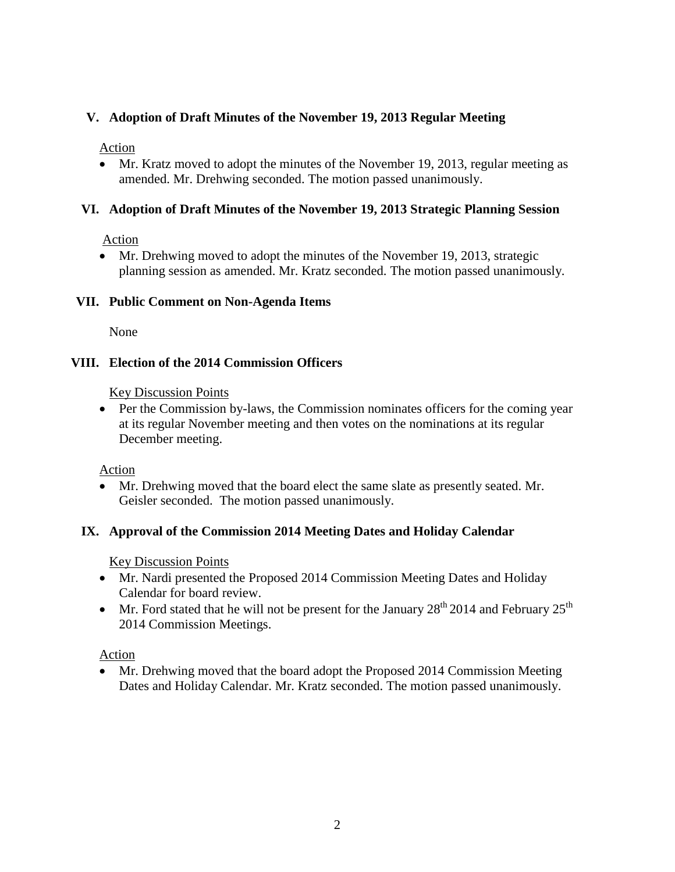## **V. Adoption of Draft Minutes of the November 19, 2013 Regular Meeting**

Action

 Mr. Kratz moved to adopt the minutes of the November 19, 2013, regular meeting as amended. Mr. Drehwing seconded. The motion passed unanimously.

#### **VI. Adoption of Draft Minutes of the November 19, 2013 Strategic Planning Session**

Action

• Mr. Drehwing moved to adopt the minutes of the November 19, 2013, strategic planning session as amended. Mr. Kratz seconded. The motion passed unanimously.

#### **VII. Public Comment on Non-Agenda Items**

None

#### **VIII. Election of the 2014 Commission Officers**

Key Discussion Points

• Per the Commission by-laws, the Commission nominates officers for the coming year at its regular November meeting and then votes on the nominations at its regular December meeting.

Action

 Mr. Drehwing moved that the board elect the same slate as presently seated. Mr. Geisler seconded. The motion passed unanimously.

#### **IX. Approval of the Commission 2014 Meeting Dates and Holiday Calendar**

Key Discussion Points

- Mr. Nardi presented the Proposed 2014 Commission Meeting Dates and Holiday Calendar for board review.
- Mr. Ford stated that he will not be present for the January  $28<sup>th</sup> 2014$  and February  $25<sup>th</sup>$ 2014 Commission Meetings.

Action

• Mr. Drehwing moved that the board adopt the Proposed 2014 Commission Meeting Dates and Holiday Calendar. Mr. Kratz seconded. The motion passed unanimously.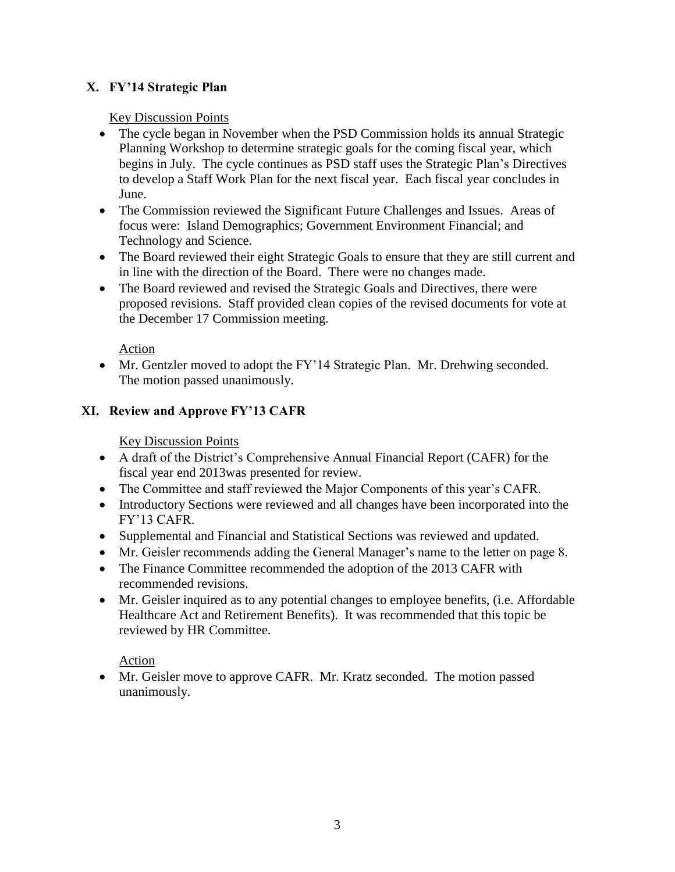# **X. FY'14 Strategic Plan**

#### Key Discussion Points

- The cycle began in November when the PSD Commission holds its annual Strategic Planning Workshop to determine strategic goals for the coming fiscal year, which begins in July. The cycle continues as PSD staff uses the Strategic Plan's Directives to develop a Staff Work Plan for the next fiscal year. Each fiscal year concludes in June.
- The Commission reviewed the Significant Future Challenges and Issues. Areas of focus were: Island Demographics; Government Environment Financial; and Technology and Science.
- The Board reviewed their eight Strategic Goals to ensure that they are still current and in line with the direction of the Board. There were no changes made.
- The Board reviewed and revised the Strategic Goals and Directives, there were proposed revisions. Staff provided clean copies of the revised documents for vote at the December 17 Commission meeting.

#### Action

• Mr. Gentzler moved to adopt the FY'14 Strategic Plan. Mr. Drehwing seconded. The motion passed unanimously.

## **XI. Review and Approve FY'13 CAFR**

### Key Discussion Points

- A draft of the District's Comprehensive Annual Financial Report (CAFR) for the fiscal year end 2013was presented for review.
- The Committee and staff reviewed the Major Components of this year's CAFR.
- Introductory Sections were reviewed and all changes have been incorporated into the FY'13 CAFR.
- Supplemental and Financial and Statistical Sections was reviewed and updated.
- Mr. Geisler recommends adding the General Manager's name to the letter on page 8.
- The Finance Committee recommended the adoption of the 2013 CAFR with recommended revisions.
- Mr. Geisler inquired as to any potential changes to employee benefits, (i.e. Affordable Healthcare Act and Retirement Benefits). It was recommended that this topic be reviewed by HR Committee.

#### Action

• Mr. Geisler move to approve CAFR. Mr. Kratz seconded. The motion passed unanimously.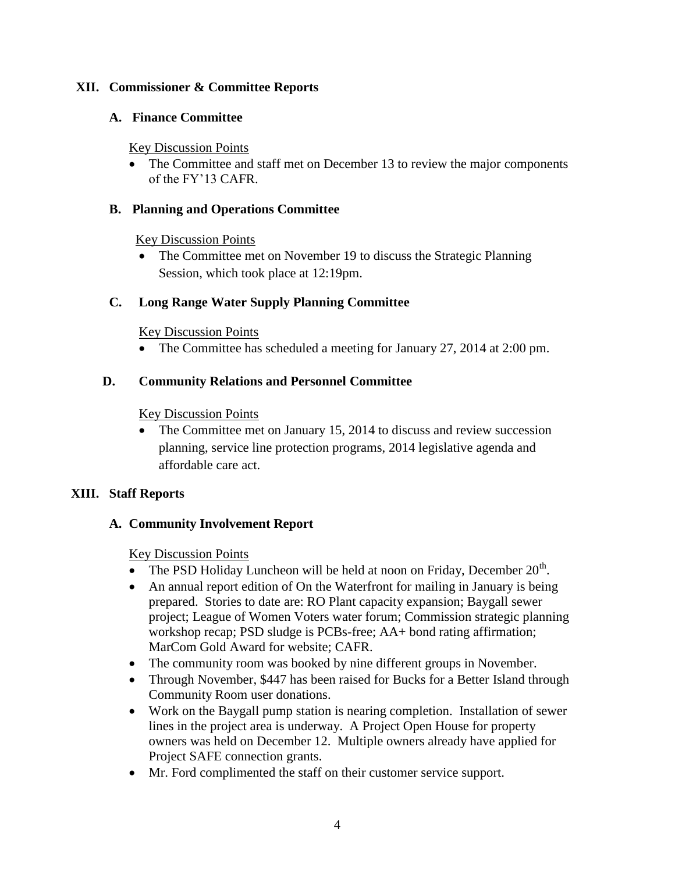#### **XII. Commissioner & Committee Reports**

### **A. Finance Committee**

#### Key Discussion Points

• The Committee and staff met on December 13 to review the major components of the FY'13 CAFR.

## **B. Planning and Operations Committee**

#### Key Discussion Points

• The Committee met on November 19 to discuss the Strategic Planning Session, which took place at 12:19pm.

# **C. Long Range Water Supply Planning Committee**

## Key Discussion Points

• The Committee has scheduled a meeting for January 27, 2014 at 2:00 pm.

## **D. Community Relations and Personnel Committee**

## Key Discussion Points

• The Committee met on January 15, 2014 to discuss and review succession planning, service line protection programs, 2014 legislative agenda and affordable care act.

# **XIII. Staff Reports**

# **A. Community Involvement Report**

#### Key Discussion Points

- The PSD Holiday Luncheon will be held at noon on Friday, December  $20<sup>th</sup>$ .
- An annual report edition of On the Waterfront for mailing in January is being prepared. Stories to date are: RO Plant capacity expansion; Baygall sewer project; League of Women Voters water forum; Commission strategic planning workshop recap; PSD sludge is PCBs-free; AA+ bond rating affirmation; MarCom Gold Award for website; CAFR.
- The community room was booked by nine different groups in November.
- Through November, \$447 has been raised for Bucks for a Better Island through Community Room user donations.
- Work on the Baygall pump station is nearing completion. Installation of sewer lines in the project area is underway. A Project Open House for property owners was held on December 12. Multiple owners already have applied for Project SAFE connection grants.
- Mr. Ford complimented the staff on their customer service support.